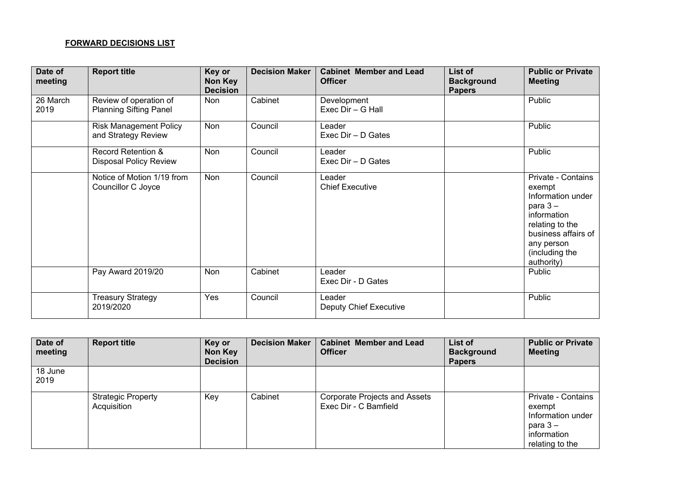## **FORWARD DECISIONS LIST**

| Date of<br>meeting | <b>Report title</b>                                            | Key or<br>Non Key<br><b>Decision</b> | <b>Decision Maker</b> | <b>Cabinet Member and Lead</b><br><b>Officer</b> | List of<br><b>Background</b><br><b>Papers</b> | <b>Public or Private</b><br><b>Meeting</b>                                                                                                                             |
|--------------------|----------------------------------------------------------------|--------------------------------------|-----------------------|--------------------------------------------------|-----------------------------------------------|------------------------------------------------------------------------------------------------------------------------------------------------------------------------|
| 26 March<br>2019   | Review of operation of<br><b>Planning Sifting Panel</b>        | Non                                  | Cabinet               | Development<br>Exec Dir - G Hall                 |                                               | Public                                                                                                                                                                 |
|                    | <b>Risk Management Policy</b><br>and Strategy Review           | <b>Non</b>                           | Council               | Leader<br>Exec Dir - D Gates                     |                                               | Public                                                                                                                                                                 |
|                    | <b>Record Retention &amp;</b><br><b>Disposal Policy Review</b> | <b>Non</b>                           | Council               | Leader<br>Exec Dir - D Gates                     |                                               | Public                                                                                                                                                                 |
|                    | Notice of Motion 1/19 from<br>Councillor C Joyce               | <b>Non</b>                           | Council               | Leader<br><b>Chief Executive</b>                 |                                               | Private - Contains<br>exempt<br>Information under<br>para $3 -$<br>information<br>relating to the<br>business affairs of<br>any person<br>(including the<br>authority) |
|                    | Pay Award 2019/20                                              | Non                                  | Cabinet               | Leader<br>Exec Dir - D Gates                     |                                               | Public                                                                                                                                                                 |
|                    | <b>Treasury Strategy</b><br>2019/2020                          | Yes                                  | Council               | Leader<br><b>Deputy Chief Executive</b>          |                                               | Public                                                                                                                                                                 |

| Date of<br>meeting | <b>Report title</b>                      | Key or<br>Non Key<br><b>Decision</b> | <b>Decision Maker</b> | <b>Cabinet Member and Lead</b><br><b>Officer</b>       | List of<br><b>Background</b><br><b>Papers</b> | <b>Public or Private</b><br><b>Meeting</b>                                                       |
|--------------------|------------------------------------------|--------------------------------------|-----------------------|--------------------------------------------------------|-----------------------------------------------|--------------------------------------------------------------------------------------------------|
| 18 June<br>2019    |                                          |                                      |                       |                                                        |                                               |                                                                                                  |
|                    | <b>Strategic Property</b><br>Acquisition | Key                                  | Cabinet               | Corporate Projects and Assets<br>Exec Dir - C Bamfield |                                               | Private - Contains<br>exempt<br>Information under<br>para $3-$<br>information<br>relating to the |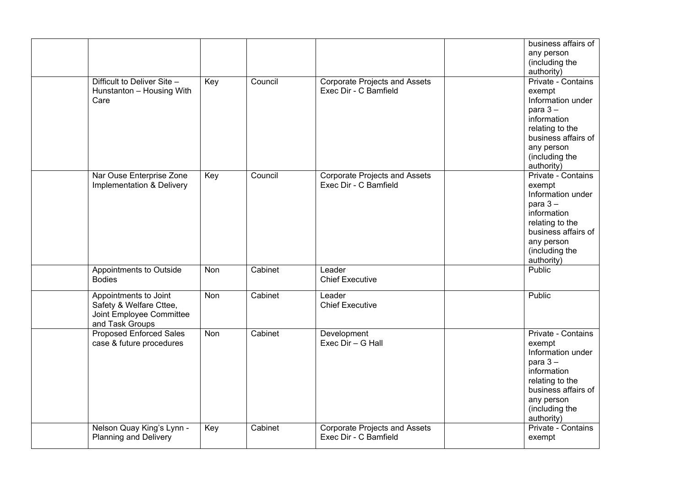| Difficult to Deliver Site -<br>Hunstanton - Housing With<br>Care                                | Key | Council | <b>Corporate Projects and Assets</b><br>Exec Dir - C Bamfield | business affairs of<br>any person<br>(including the<br>authority)<br>Private - Contains<br>exempt<br>Information under<br>para $3 -$<br>information<br>relating to the<br>business affairs of<br>any person<br>(including the<br>authority) |
|-------------------------------------------------------------------------------------------------|-----|---------|---------------------------------------------------------------|---------------------------------------------------------------------------------------------------------------------------------------------------------------------------------------------------------------------------------------------|
| Nar Ouse Enterprise Zone<br>Implementation & Delivery                                           | Key | Council | <b>Corporate Projects and Assets</b><br>Exec Dir - C Bamfield | Private - Contains<br>exempt<br>Information under<br>para $3-$<br>information<br>relating to the<br>business affairs of<br>any person<br>(including the<br>authority)                                                                       |
| Appointments to Outside<br><b>Bodies</b>                                                        | Non | Cabinet | Leader<br><b>Chief Executive</b>                              | Public                                                                                                                                                                                                                                      |
| Appointments to Joint<br>Safety & Welfare Cttee,<br>Joint Employee Committee<br>and Task Groups | Non | Cabinet | Leader<br><b>Chief Executive</b>                              | Public                                                                                                                                                                                                                                      |
| <b>Proposed Enforced Sales</b><br>case & future procedures                                      | Non | Cabinet | Development<br>Exec Dir - G Hall                              | Private - Contains<br>exempt<br>Information under<br>para $3 -$<br>information<br>relating to the<br>business affairs of<br>any person<br>(including the<br>authority)                                                                      |
| Nelson Quay King's Lynn -<br><b>Planning and Delivery</b>                                       | Key | Cabinet | <b>Corporate Projects and Assets</b><br>Exec Dir - C Bamfield | Private - Contains<br>exempt                                                                                                                                                                                                                |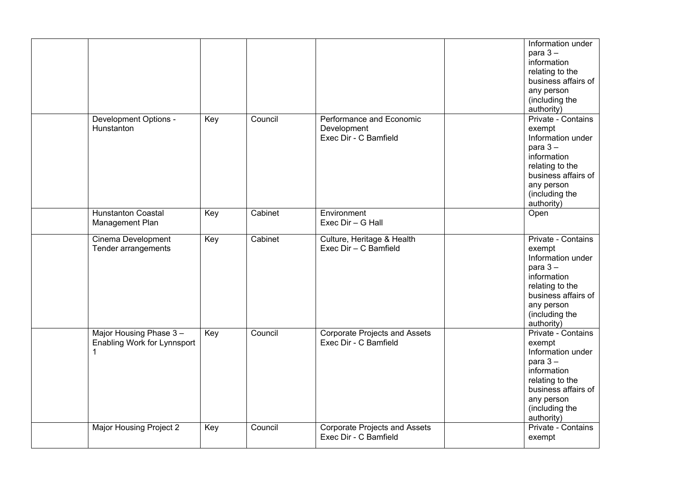|                                                       |     |         |                                                                  | Information under<br>para $3 -$<br>information<br>relating to the<br>business affairs of<br>any person<br>(including the<br>authority)                                 |
|-------------------------------------------------------|-----|---------|------------------------------------------------------------------|------------------------------------------------------------------------------------------------------------------------------------------------------------------------|
| Development Options -<br>Hunstanton                   | Key | Council | Performance and Economic<br>Development<br>Exec Dir - C Bamfield | Private - Contains<br>exempt<br>Information under<br>para $3 -$<br>information<br>relating to the<br>business affairs of<br>any person<br>(including the<br>authority) |
| <b>Hunstanton Coastal</b><br>Management Plan          | Key | Cabinet | Environment<br>Exec Dir - G Hall                                 | Open                                                                                                                                                                   |
| Cinema Development<br>Tender arrangements             | Key | Cabinet | Culture, Heritage & Health<br>Exec Dir - C Bamfield              | Private - Contains<br>exempt<br>Information under<br>para $3 -$<br>information<br>relating to the<br>business affairs of<br>any person<br>(including the<br>authority) |
| Major Housing Phase 3-<br>Enabling Work for Lynnsport | Key | Council | <b>Corporate Projects and Assets</b><br>Exec Dir - C Bamfield    | Private - Contains<br>exempt<br>Information under<br>para $3 -$<br>information<br>relating to the<br>business affairs of<br>any person<br>(including the<br>authority) |
| Major Housing Project 2                               | Key | Council | <b>Corporate Projects and Assets</b><br>Exec Dir - C Bamfield    | Private - Contains<br>exempt                                                                                                                                           |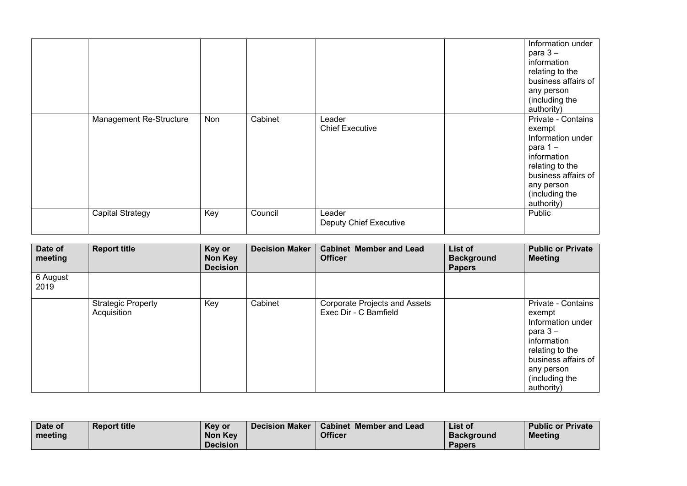|  | Management Re-Structure | Non | Cabinet | Leader<br><b>Chief Executive</b>        | Information under<br>para $3-$<br>information<br>relating to the<br>business affairs of<br>any person<br>(including the<br>authority)<br>Private - Contains<br>exempt<br>Information under<br>para 1-<br>information<br>relating to the<br>business affairs of |
|--|-------------------------|-----|---------|-----------------------------------------|----------------------------------------------------------------------------------------------------------------------------------------------------------------------------------------------------------------------------------------------------------------|
|  |                         |     |         |                                         | any person<br>(including the<br>authority)                                                                                                                                                                                                                     |
|  | <b>Capital Strategy</b> | Key | Council | Leader<br><b>Deputy Chief Executive</b> | Public                                                                                                                                                                                                                                                         |

| Date of<br>meeting | <b>Report title</b>                      | Key or<br>Non Key<br><b>Decision</b> | <b>Decision Maker</b> | <b>Cabinet Member and Lead</b><br><b>Officer</b>       | List of<br><b>Background</b><br><b>Papers</b> | <b>Public or Private</b><br><b>Meeting</b>                                                                                                                            |
|--------------------|------------------------------------------|--------------------------------------|-----------------------|--------------------------------------------------------|-----------------------------------------------|-----------------------------------------------------------------------------------------------------------------------------------------------------------------------|
| 6 August<br>2019   |                                          |                                      |                       |                                                        |                                               |                                                                                                                                                                       |
|                    | <b>Strategic Property</b><br>Acquisition | Key                                  | Cabinet               | Corporate Projects and Assets<br>Exec Dir - C Bamfield |                                               | Private - Contains<br>exempt<br>Information under<br>para $3-$<br>information<br>relating to the<br>business affairs of<br>any person<br>(including the<br>authority) |